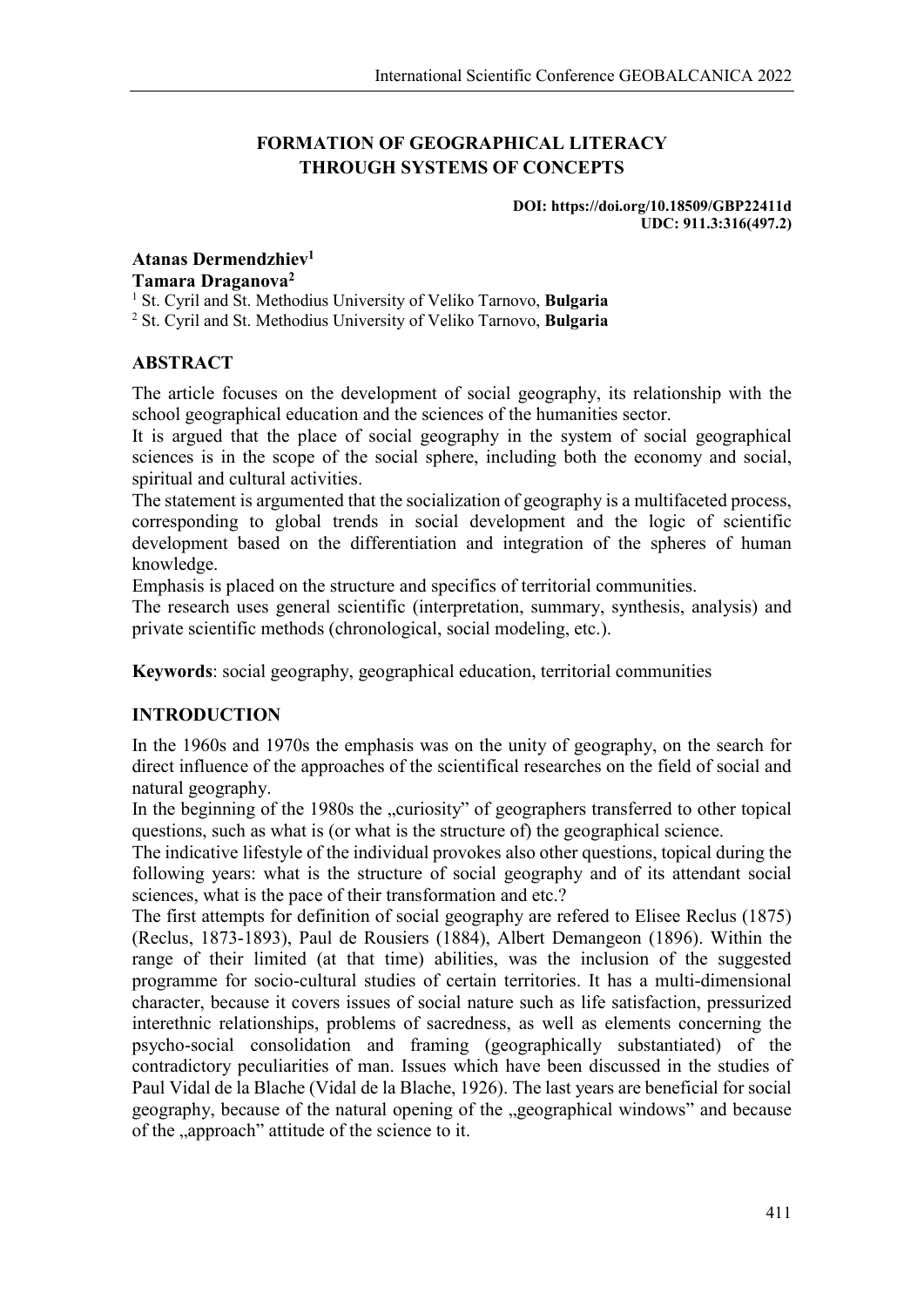# **FORMATION OF GEOGRAPHICAL LITERACY THROUGH SYSTEMS OF CONCEPTS**

#### **DOI: https://doi.org/10.18509/GBP22411d UDC: 911.3:316(497.2)**

### **Atanas Dermendzhiev1 Tamara Draganova2**

<sup>1</sup> St. Cyril and St. Methodius University of Veliko Tarnovo, **Bulgaria**

<sup>2</sup> St. Cyril and St. Methodius University of Veliko Tarnovo, **Bulgaria**

## **ABSTRACT**

The article focuses on the development of social geography, its relationship with the school geographical education and the sciences of the humanities sector.

It is argued that the place of social geography in the system of social geographical sciences is in the scope of the social sphere, including both the economy and social, spiritual and cultural activities.

The statement is argumented that the socialization of geography is a multifaceted process, corresponding to global trends in social development and the logic of scientific development based on the differentiation and integration of the spheres of human knowledge.

Emphasis is placed on the structure and specifics of territorial communities.

The research uses general scientific (interpretation, summary, synthesis, analysis) and private scientific methods (chronological, social modeling, etc.).

**Keywords**: social geography, geographical education, territorial communities

## **INTRODUCTION**

In the 1960s and 1970s the emphasis was on the unity of geography, on the search for direct influence of the approaches of the scientifical researches on the field of social and natural geography.

In the beginning of the 1980s the "curiosity" of geographers transferred to other topical questions, such as what is (or what is the structure of) the geographical science.

The indicative lifestyle of the individual provokes also other questions, topical during the following years: what is the structure of social geography and of its attendant social sciences, what is the pace of their transformation and etc.?

The first attempts for definition of social geography are refered to Elisee Reclus (1875) (Reclus, 1873-1893), Paul de Rousiers (1884), Albert Demangeon (1896). Within the range of their limited (at that time) abilities, was the inclusion of the suggested programme for socio-cultural studies of certain territories. It has a multi-dimensional character, because it covers issues of social nature such as life satisfaction, pressurized interethnic relationships, problems of sacredness, as well as elements concerning the psycho-social consolidation and framing (geographically substantiated) of the contradictory peculiarities of man. Issues which have been discussed in the studies of Paul Vidal de la Blache (Vidal de la Blache, 1926). The last years are beneficial for social geography, because of the natural opening of the "geographical windows" and because of the "approach" attitude of the science to it.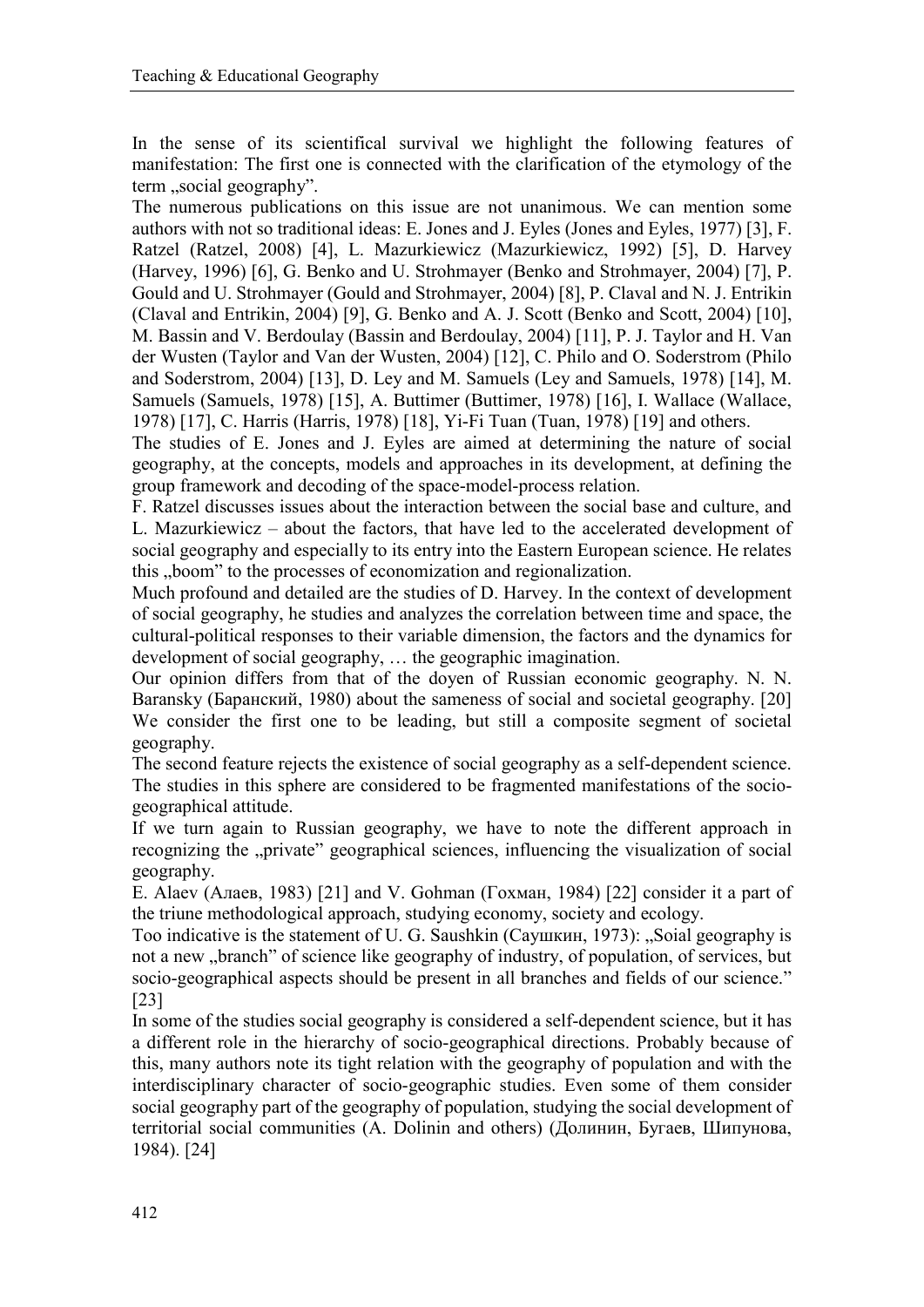In the sense of its scientifical survival we highlight the following features of manifestation: The first one is connected with the clarification of the etymology of the term "social geography".

The numerous publications on this issue are not unanimous. We can mention some authors with not so traditional ideas: E. Jones and J. Eyles (Jones аnd Eyles, 1977) [3], F. Ratzel (Ratzel, 2008) [4], L. Mazurkiewicz (Mazurkiewicz, 1992) [5], D. Harvey (Harvey, 1996) [6], G. Benko and U. Strohmayer (Benko and Strohmayer, 2004) [7], P. Gould and U. Strohmayer (Gould and Strohmayer, 2004) [8], P. Claval and N. J. Entrikin (Claval and Entrikin, 2004) [9], G. Benko and A. J. Scott (Benko and Scott, 2004) [10], M. Bassin and V. Berdoulay (Bassin and Berdoulay, 2004) [11], P. J. Taylor and H. Van der Wusten (Taylor and Van der Wusten, 2004) [12], C. Philo and O. Soderstrom (Philo and Soderstrom, 2004) [13], D. Ley and M. Samuels (Ley and Samuels, 1978) [14], M. Samuels (Samuels, 1978) [15], A. Buttimer (Buttimer, 1978) [16], I. Wallace (Wallace, 1978) [17], C. Harris (Harris, 1978) [18], Yi-Fi Tuan (Tuan, 1978) [19] and others.

The studies of E. Jones and J. Eyles are aimed at determining the nature of social geography, at the concepts, models and approaches in its development, at defining the group framework and decoding of the space-model-process relation.

F. Ratzel discusses issues about the interaction between the social base and culture, and L. Mazurkiewicz – about the factors, that have led to the accelerated development of social geography and especially to its entry into the Eastern European science. He relates this "boom" to the processes of economization and regionalization.

Much profound and detailed are the studies of D. Harvey. In the context of development of social geography, he studies and analyzes the correlation between time and space, the cultural-political responses to their variable dimension, the factors and the dynamics for development of social geography, … the geographic imagination.

Our opinion differs from that of the doyen of Russian economic geography. N. N. Baransky (Баранский, 1980) about the sameness of social and societal geography. [20] We consider the first one to be leading, but still a composite segment of societal geography.

The second feature rejects the existence of social geography as a self-dependent science. The studies in this sphere are considered to be fragmented manifestations of the sociogeographical attitude.

If we turn again to Russian geography, we have to note the different approach in recognizing the "private" geographical sciences, influencing the visualization of social geography.

E. Alaev (Алаев, 1983) [21] and V. Gohman (Гохман, 1984) [22] consider it a part of the triune methodological approach, studying economy, society and ecology.

Too indicative is the statement of U. G. Saushkin (Саушкин, 1973): "Soial geography is not a new "branch" of science like geography of industry, of population, of services, but socio-geographical aspects should be present in all branches and fields of our science." [23]

In some of the studies social geography is considered a self-dependent science, but it has a different role in the hierarchy of socio-geographical directions. Probably because of this, many authors note its tight relation with the geography of population and with the interdisciplinary character of socio-geographic studies. Even some of them consider social geography part of the geography of population, studying the social development of territorial social communities (A. Dolinin and others) (Долинин, Бугаев, Шипунова, 1984). [24]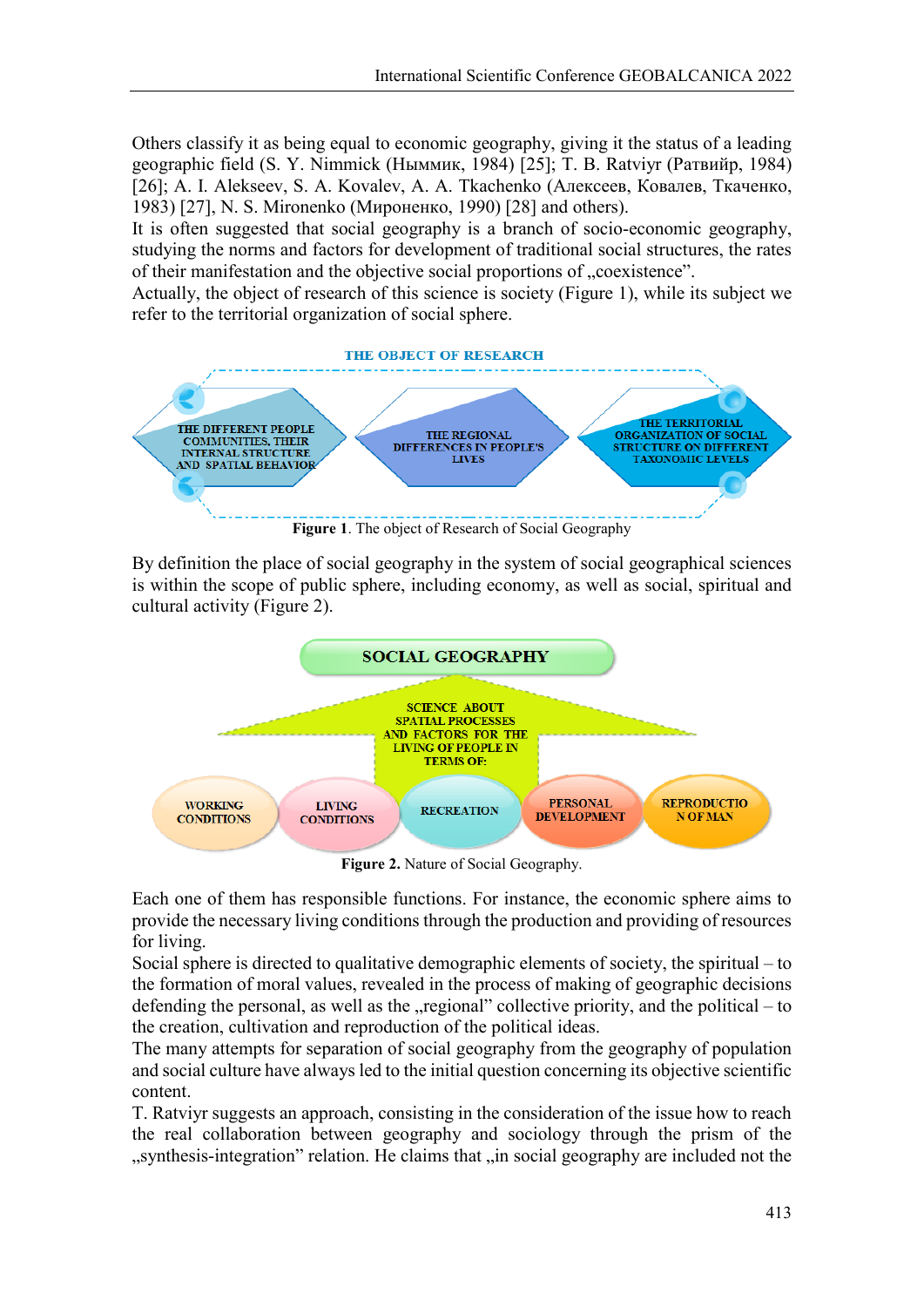Others classify it as being equal to economic geography, giving it the status of a leading geographic field (S. Y. Nimmick (Ныммик, 1984) [25]; T. B. Ratviyr (Ратвийр, 1984) [26]; A. I. Alekseev, S. A. Kovalev, A. A. Tkachenko (Алексеев, Ковалев, Ткаченко, 1983) [27], N. S. Mironenko (Мироненко, 1990) [28] and others).

It is often suggested that social geography is a branch of socio-economic geography, studying the norms and factors for development of traditional social structures, the rates of their manifestation and the objective social proportions of "coexistence".

Actually, the object of research of this science is society (Figure 1), while its subject we refer to the territorial organization of social sphere.



By definition the place of social geography in the system of social geographical sciences is within the scope of public sphere, including economy, as well as social, spiritual and cultural activity (Figure 2).



**Figure 2.** Nature of Social Geography.

Each one of them has responsible functions. For instance, the economic sphere aims to provide the necessary living conditions through the production and providing of resources for living.

Social sphere is directed to qualitative demographic elements of society, the spiritual – to the formation of moral values, revealed in the process of making of geographic decisions defending the personal, as well as the  $\mu$  regional" collective priority, and the political – to the creation, cultivation and reproduction of the political ideas.

The many attempts for separation of social geography from the geography of population and social culture have always led to the initial question concerning its objective scientific content.

T. Ratviyr suggests an approach, consisting in the consideration of the issue how to reach the real collaboration between geography and sociology through the prism of the ", synthesis-integration" relation. He claims that "in social geography are included not the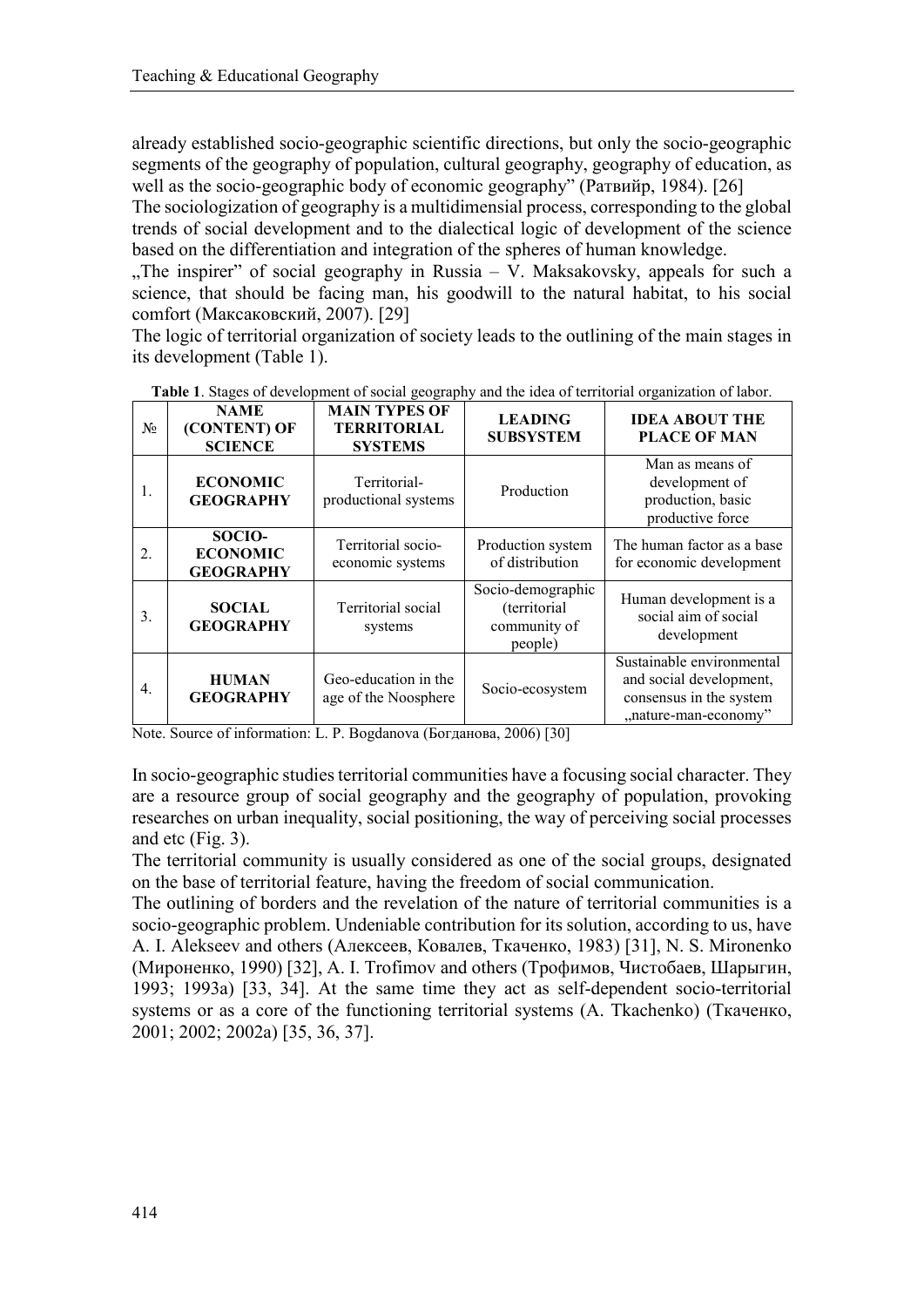already established socio-geographic scientific directions, but only the socio-geographic segments of the geography of population, cultural geography, geography of education, as well as the socio-geographic body of economic geography" (Ратвийр, 1984). [26]

The sociologization of geography is a multidimensial process, corresponding to the global trends of social development and to the dialectical logic of development of the science based on the differentiation and integration of the spheres of human knowledge.

 $n$ , The inspirer" of social geography in Russia – V. Maksakovsky, appeals for such a science, that should be facing man, his goodwill to the natural habitat, to his social comfort (Максаковский, 2007). [29]

The logic of territorial organization of society leads to the outlining of the main stages in its development (Table 1).

| $N_2$ | <b>NAME</b><br>(CONTENT) OF<br><b>SCIENCE</b> | <b>MAIN TYPES OF</b><br><b>TERRITORIAL</b><br><b>SYSTEMS</b> | <b>LEADING</b><br><b>SUBSYSTEM</b>                           | <b>IDEA ABOUT THE</b><br><b>PLACE OF MAN</b>                                                            |
|-------|-----------------------------------------------|--------------------------------------------------------------|--------------------------------------------------------------|---------------------------------------------------------------------------------------------------------|
| 1.    | <b>ECONOMIC</b><br><b>GEOGRAPHY</b>           | Territorial-<br>productional systems                         | Production                                                   | Man as means of<br>development of<br>production, basic<br>productive force                              |
| 2.    | SOCIO-<br><b>ECONOMIC</b><br><b>GEOGRAPHY</b> | Territorial socio-<br>economic systems                       | Production system<br>of distribution                         | The human factor as a base<br>for economic development                                                  |
| 3.    | <b>SOCIAL</b><br><b>GEOGRAPHY</b>             | Territorial social<br>systems                                | Socio-demographic<br>(territorial<br>community of<br>people) | Human development is a<br>social aim of social<br>development                                           |
| 4.    | <b>HUMAN</b><br><b>GEOGRAPHY</b>              | Geo-education in the<br>age of the Noosphere                 | Socio-ecosystem                                              | Sustainable environmental<br>and social development,<br>consensus in the system<br>"nature-man-economy" |

**Table 1**. Stages of development of social geography and the idea of territorial organization of labor.

Note. Source of information: L. P. Bogdanova (Богданова, 2006) [30]

In socio-geographic studies territorial communities have a focusing social character. They are a resource group of social geography and the geography of population, provoking researches on urban inequality, social positioning, the way of perceiving social processes and etc (Fig. 3).

The territorial community is usually considered as one of the social groups, designated on the base of territorial feature, having the freedom of social communication.

The outlining of borders and the revelation of the nature of territorial communities is a socio-geographic problem. Undeniable contribution for its solution, according to us, have A. I. Alekseev and others (Алексеев, Ковалев, Ткаченко, 1983) [31], N. S. Mironenko (Мироненко, 1990) [32], A. I. Trofimov and others (Трофимов, Чистобаев, Шарыгин, 1993; 1993a) [33, 34]. At the same time they act as self-dependent socio-territorial systems or as a core of the functioning territorial systems (A. Tkachenko) (Ткаченко, 2001; 2002; 2002a) [35, 36, 37].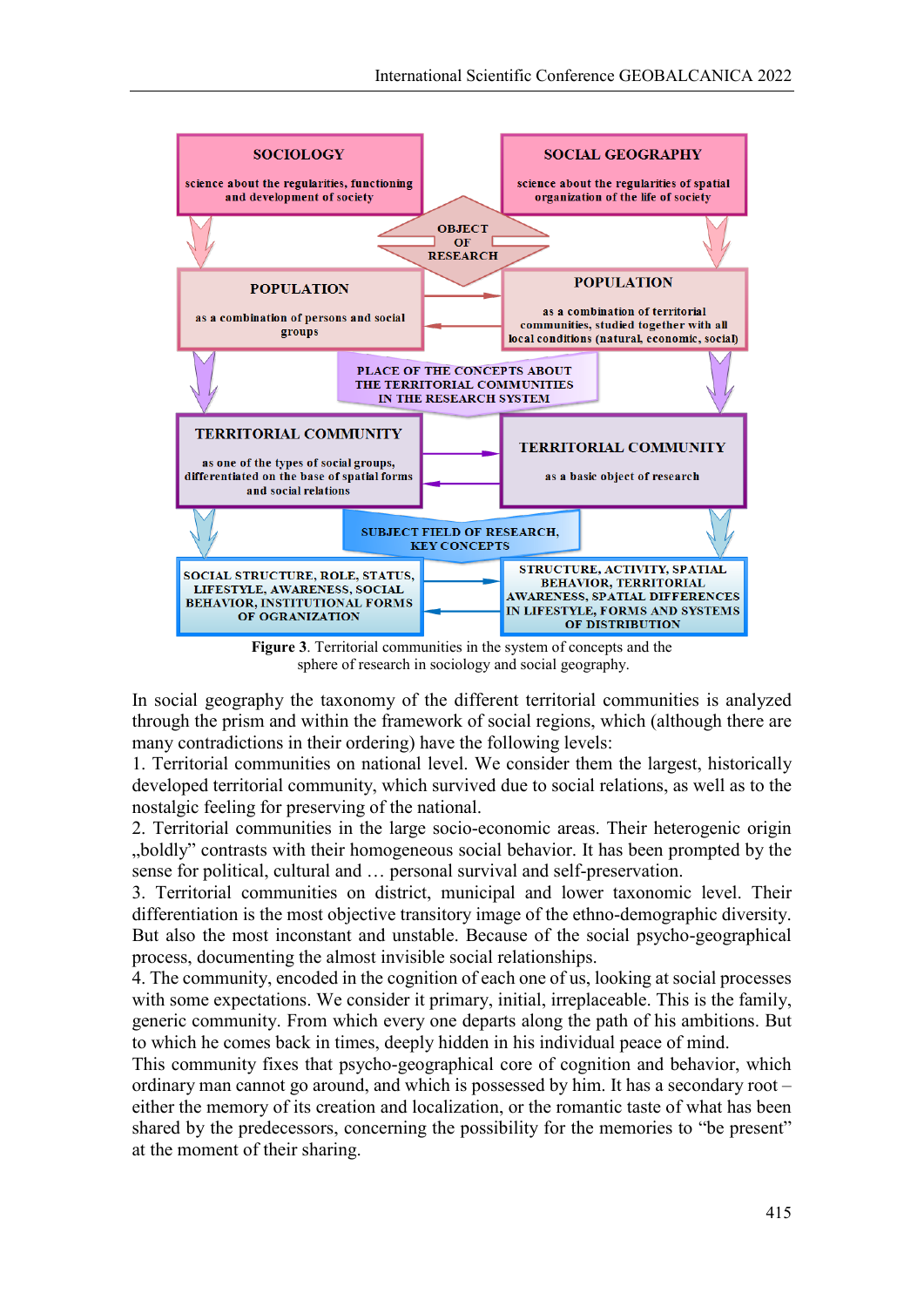

**Figure 3**. Territorial communities in the system of concepts and the sphere of research in sociology and social geography.

In social geography the taxonomy of the different territorial communities is analyzed through the prism and within the framework of social regions, which (although there are many contradictions in their ordering) have the following levels:

1. Territorial communities on national level. We consider them the largest, historically developed territorial community, which survived due to social relations, as well as to the nostalgic feeling for preserving of the national.

2. Territorial communities in the large socio-economic areas. Their heterogenic origin "boldly" contrasts with their homogeneous social behavior. It has been prompted by the sense for political, cultural and … personal survival and self-preservation.

3. Territorial communities on district, municipal and lower taxonomic level. Their differentiation is the most objective transitory image of the ethno-demographic diversity. But also the most inconstant and unstable. Because of the social psycho-geographical process, documenting the almost invisible social relationships.

4. The community, encoded in the cognition of each one of us, looking at social processes with some expectations. We consider it primary, initial, irreplaceable. This is the family, generic community. From which every one departs along the path of his ambitions. But to which he comes back in times, deeply hidden in his individual peace of mind.

This community fixes that psycho-geographical core of cognition and behavior, which ordinary man cannot go around, and which is possessed by him. It has a secondary root – either the memory of its creation and localization, or the romantic taste of what has been shared by the predecessors, concerning the possibility for the memories to "be present" at the moment of their sharing.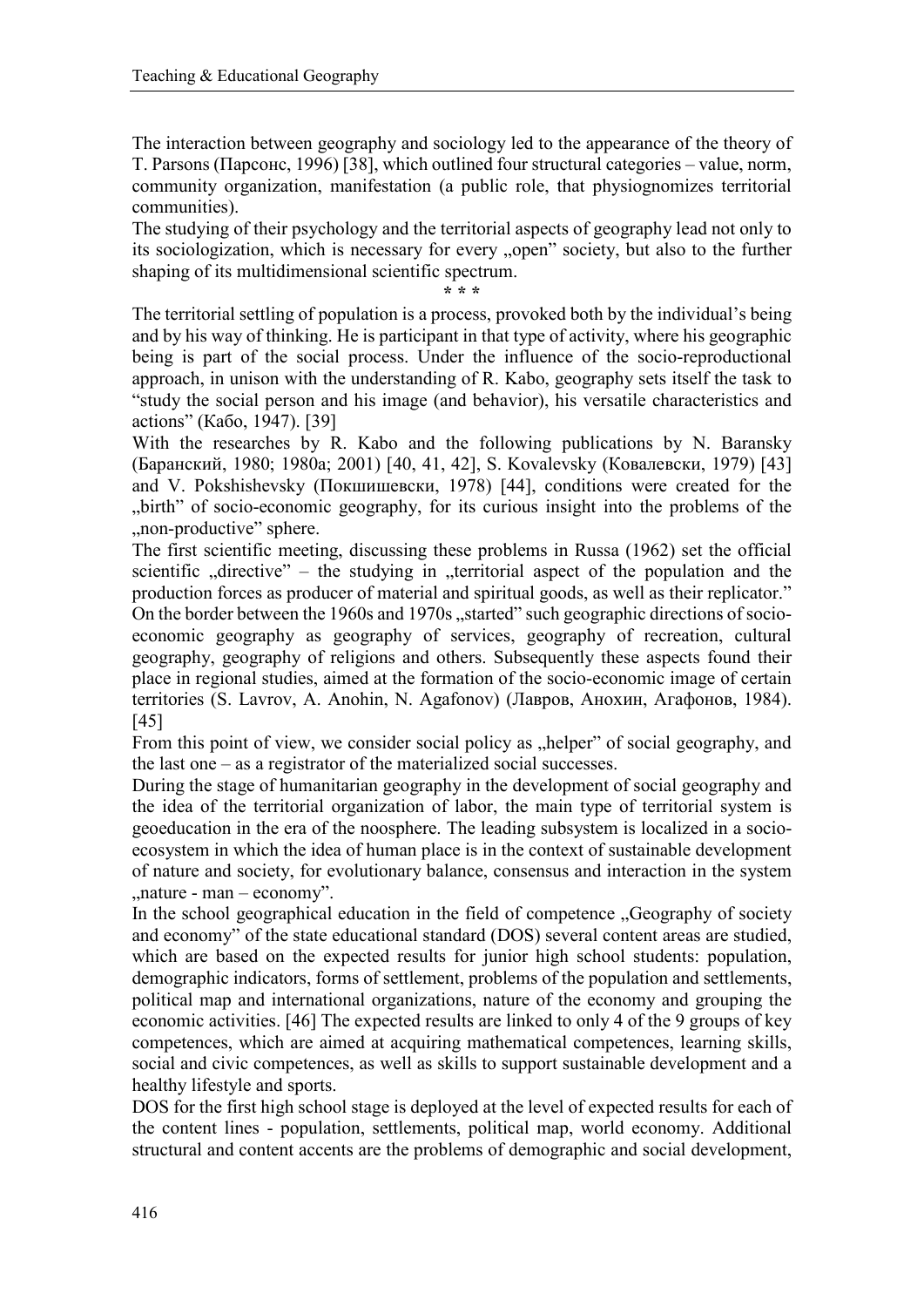The interaction between geography and sociology led to the appearance of the theory of T. Parsons (Парсонс, 1996) [38], which outlined four structural categories – value, norm, community organization, manifestation (a public role, that physiognomizes territorial communities).

The studying of their psychology and the territorial aspects of geography lead not only to its sociologization, which is necessary for every "open" society, but also to the further shaping of its multidimensional scientific spectrum.

**\* \* \***

The territorial settling of population is a process, provoked both by the individual's being and by his way of thinking. He is participant in that type of activity, where his geographic being is part of the social process. Under the influence of the socio-reproductional approach, in unison with the understanding of R. Kabo, geography sets itself the task to "study the social person and his image (and behavior), his versatile characteristics and actions" (Кабо, 1947). [39]

With the researches by R. Kabo and the following publications by N. Baransky (Баранский, 1980; 1980a; 2001) [40, 41, 42], S. Kovalevsky (Ковалевски, 1979) [43] and V. Pokshishevsky (Покшишевски, 1978) [44], conditions were created for the "birth" of socio-economic geography, for its curious insight into the problems of the , non-productive" sphere.

The first scientific meeting, discussing these problems in Russa (1962) set the official scientific  $n$ , directive" – the studying in  $n$ , territorial aspect of the population and the production forces as producer of material and spiritual goods, as well as their replicator." On the border between the 1960s and 1970s "started" such geographic directions of socioeconomic geography as geography of services, geography of recreation, cultural geography, geography of religions and others. Subsequently these aspects found their place in regional studies, aimed at the formation of the socio-economic image of certain territories (S. Lavrov, A. Anohin, N. Agafonov) (Лавров, Анохин, Агафонов, 1984). [45]

From this point of view, we consider social policy as "helper" of social geography, and the last one – as a registrator of the materialized social successes.

During the stage of humanitarian geography in the development of social geography and the idea of the territorial organization of labor, the main type of territorial system is geoeducation in the era of the noosphere. The leading subsystem is localized in a socioecosystem in which the idea of human place is in the context of sustainable development of nature and society, for evolutionary balance, consensus and interaction in the system  $,$ nature - man – economy".

In the school geographical education in the field of competence "Geography of society and economy" of the state educational standard (DOS) several content areas are studied, which are based on the expected results for junior high school students: population, demographic indicators, forms of settlement, problems of the population and settlements, political map and international organizations, nature of the economy and grouping the economic activities. [46] The expected results are linked to only 4 of the 9 groups of key competences, which are aimed at acquiring mathematical competences, learning skills, social and civic competences, as well as skills to support sustainable development and a healthy lifestyle and sports.

DOS for the first high school stage is deployed at the level of expected results for each of the content lines - population, settlements, political map, world economy. Additional structural and content accents are the problems of demographic and social development,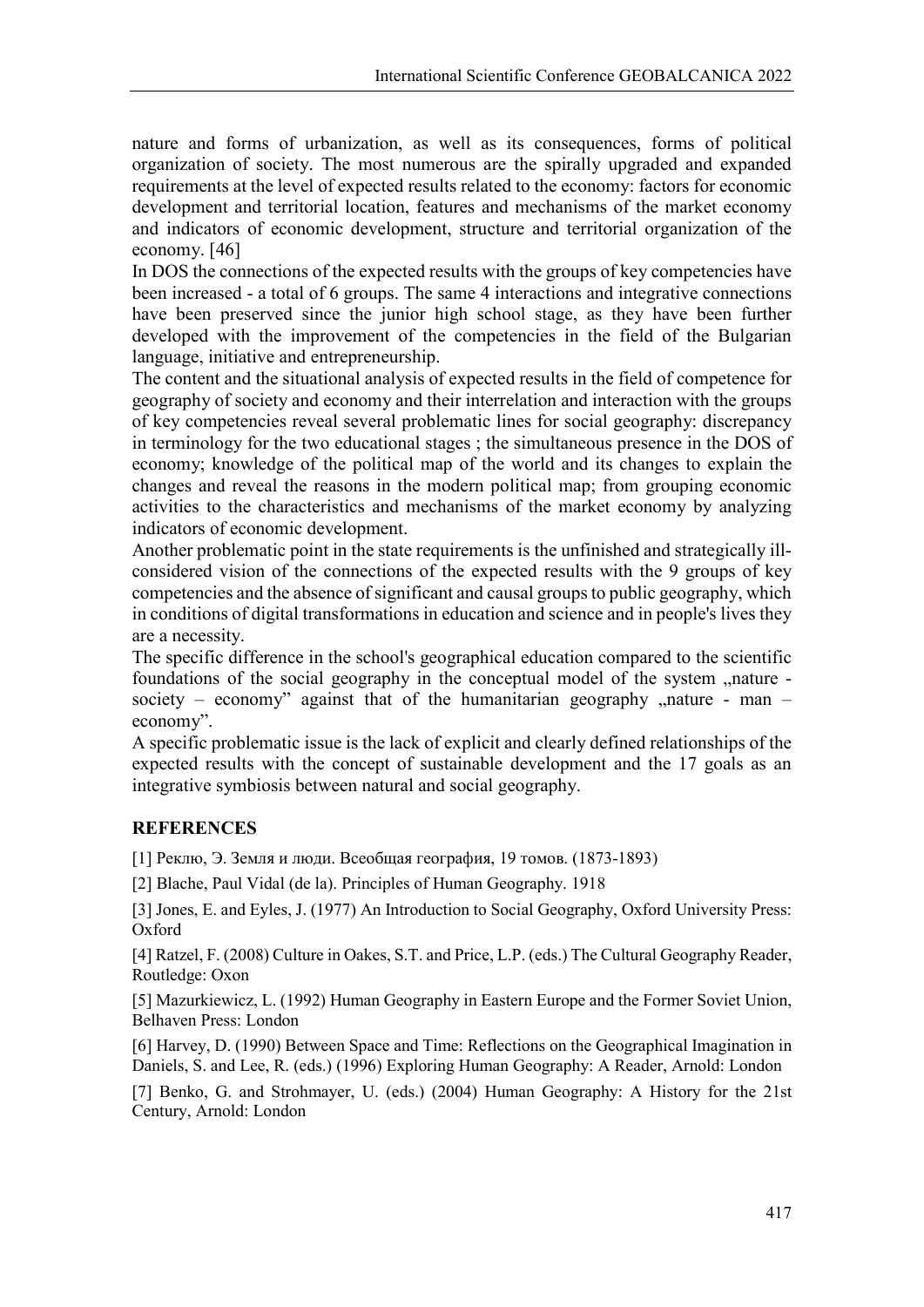nature and forms of urbanization, as well as its consequences, forms of political organization of society. The most numerous are the spirally upgraded and expanded requirements at the level of expected results related to the economy: factors for economic development and territorial location, features and mechanisms of the market economy and indicators of economic development, structure and territorial organization of the economy. [46]

In DOS the connections of the expected results with the groups of key competencies have been increased - a total of 6 groups. The same 4 interactions and integrative connections have been preserved since the junior high school stage, as they have been further developed with the improvement of the competencies in the field of the Bulgarian language, initiative and entrepreneurship.

The content and the situational analysis of expected results in the field of competence for geography of society and economy and their interrelation and interaction with the groups of key competencies reveal several problematic lines for social geography: discrepancy in terminology for the two educational stages ; the simultaneous presence in the DOS of economy; knowledge of the political map of the world and its changes to explain the changes and reveal the reasons in the modern political map; from grouping economic activities to the characteristics and mechanisms of the market economy by analyzing indicators of economic development.

Another problematic point in the state requirements is the unfinished and strategically illconsidered vision of the connections of the expected results with the 9 groups of key competencies and the absence of significant and causal groups to public geography, which in conditions of digital transformations in education and science and in people's lives they are a necessity.

The specific difference in the school's geographical education compared to the scientific foundations of the social geography in the conceptual model of the system "nature society – economy" against that of the humanitarian geography  $n$  nature - man – economy".

A specific problematic issue is the lack of explicit and clearly defined relationships of the expected results with the concept of sustainable development and the 17 goals as an integrative symbiosis between natural and social geography.

### **REFERENCES**

[1] Реклю, Э. Земля и люди. Всеобщая география, 19 томов. (1873-1893)

[2] Blache, Paul Vidal (de la). Principles of Human Geography. 1918

[3] Jones, E. and Eyles, J. (1977) An Introduction to Social Geography, Oxford University Press: Oxford

[4] Ratzel, F. (2008) Culture in Oakes, S.T. and Price, L.P. (eds.) The Cultural Geography Reader, Routledge: Oxon

[5] Mazurkiewicz, L. (1992) Human Geography in Eastern Europe and the Former Soviet Union, Belhaven Press: London

[6] Harvey, D. (1990) Between Space and Time: Reflections on the Geographical Imagination in Daniels, S. and Lee, R. (eds.) (1996) Exploring Human Geography: A Reader, Arnold: London

[7] Benko, G. and Strohmayer, U. (eds.) (2004) Human Geography: A History for the 21st Century, Arnold: London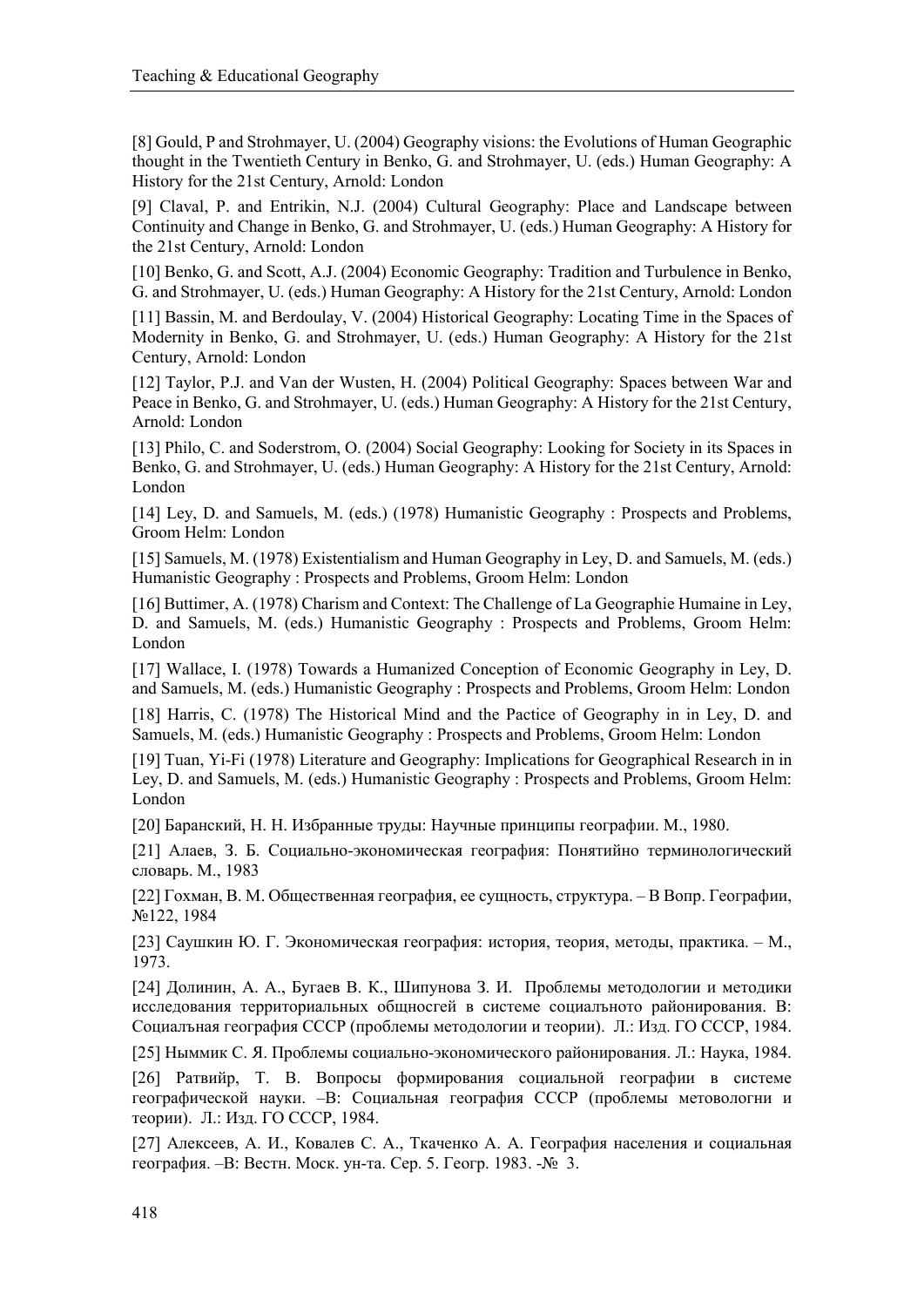[8] Gould, P and Strohmayer, U. (2004) Geography visions: the Evolutions of Human Geographic thought in the Twentieth Century in Benko, G. and Strohmayer, U. (eds.) Human Geography: A History for the 21st Century, Arnold: London

[9] Claval, P. and Entrikin, N.J. (2004) Cultural Geography: Place and Landscape between Continuity and Change in Benko, G. and Strohmayer, U. (eds.) Human Geography: A History for the 21st Century, Arnold: London

[10] Benko, G. and Scott, A.J. (2004) Economic Geography: Tradition and Turbulence in Benko, G. and Strohmayer, U. (eds.) Human Geography: A History for the 21st Century, Arnold: London

[11] Bassin, M. and Berdoulay, V. (2004) Historical Geography: Locating Time in the Spaces of Modernity in Benko, G. and Strohmayer, U. (eds.) Human Geography: A History for the 21st Century, Arnold: London

[12] Taylor, P.J. and Van der Wusten, H. (2004) Political Geography: Spaces between War and Peace in Benko, G. and Strohmayer, U. (eds.) Human Geography: A History for the 21st Century, Arnold: London

[13] Philo, C. and Soderstrom, O. (2004) Social Geography: Looking for Society in its Spaces in Benko, G. and Strohmayer, U. (eds.) Human Geography: A History for the 21st Century, Arnold: London

[14] Ley, D. and Samuels, M. (eds.) (1978) Humanistic Geography : Prospects and Problems, Groom Helm: London

[15] Samuels, M. (1978) Existentialism and Human Geography in Ley, D. and Samuels, M. (eds.) Humanistic Geography : Prospects and Problems, Groom Helm: London

[16] Buttimer, A. (1978) Charism and Context: The Challenge of La Geographie Humaine in Ley, D. and Samuels, M. (eds.) Humanistic Geography : Prospects and Problems, Groom Helm: London

[17] Wallace, I. (1978) Towards a Humanized Conception of Economic Geography in Ley, D. and Samuels, M. (eds.) Humanistic Geography : Prospects and Problems, Groom Helm: London

[18] Harris, C. (1978) The Historical Mind and the Pactice of Geography in in Ley, D. and Samuels, M. (eds.) Humanistic Geography : Prospects and Problems, Groom Helm: London

[19] Tuan, Yi-Fi (1978) Literature and Geography: Implications for Geographical Research in in Ley, D. and Samuels, M. (eds.) Humanistic Geography : Prospects and Problems, Groom Helm: London

[20] Баранский, Н. Н. Избранные труды: Научные принципы географии. М., 1980.

[21] Алаев, З. Б. Социально-экономическая география: Понятийно терминологический словарь. М., 1983

[22] Гохман, В. М. Общественная география, ее сущность, структура. – В Вопр. Географии, №122, 1984

[23] Саушкин Ю. Г. Экономическая география: история, теория, методы, практика. – М., 1973.

[24] Долинин, А. А., Бугаев В. К., Шипунова З. И. Проблемы методологии и методики исследования территориальных общносгей в системе социалъното районирования. В: Социалъная география СССР (проблемы методологии и теории). Л.: Изд. ГО СССР, 1984.

[25] Ныммик С. Я. Проблемы социально-экономического районирования. Л.: Наука, 1984.

[26] Ратвийр, Т. В. Вопросы формирования социальной географии в системе географической науки. –В: Социальная география СССР (проблемы метовологни и теории). Л.: Изд. ГО СССР, 1984.

[27] Алексеев, А. И., Ковалев С. А., Ткаченко А. А. География населения и социальная география. –В: Вестн. Моск. ун-та. Сер. 5. Геогр. 1983. -№ 3.